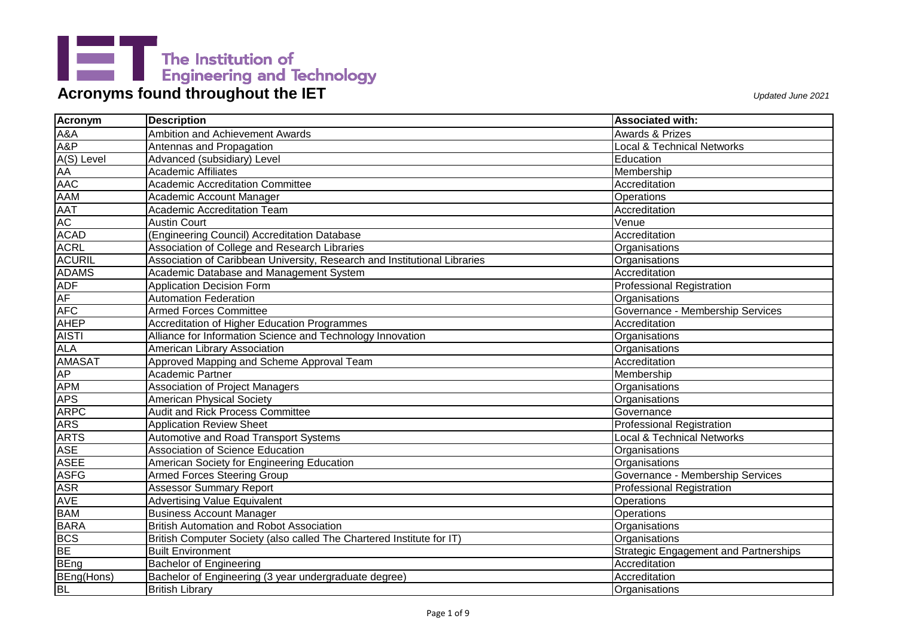| Acronym                | <b>Description</b>                                                        | <b>Associated with:</b>                      |
|------------------------|---------------------------------------------------------------------------|----------------------------------------------|
| A&A                    | <b>Ambition and Achievement Awards</b>                                    | <b>Awards &amp; Prizes</b>                   |
| A&P                    | Antennas and Propagation                                                  | <b>Local &amp; Technical Networks</b>        |
| A(S) Level             | Advanced (subsidiary) Level                                               | Education                                    |
| AA<br>AA<br>AAC<br>AAM | Academic Affiliates                                                       | Membership                                   |
|                        | <b>Academic Accreditation Committee</b>                                   | Accreditation                                |
|                        | Academic Account Manager                                                  | Operations                                   |
| AAT                    | <b>Academic Accreditation Team</b>                                        | Accreditation                                |
| AC                     | <b>Austin Court</b>                                                       | Venue                                        |
| <b>ACAD</b>            | (Engineering Council) Accreditation Database                              | Accreditation                                |
| <b>ACRL</b>            | Association of College and Research Libraries                             | Organisations                                |
| <b>ACURIL</b>          | Association of Caribbean University, Research and Institutional Libraries | Organisations                                |
| <b>ADAMS</b>           | Academic Database and Management System                                   | Accreditation                                |
| <b>ADF</b>             | <b>Application Decision Form</b>                                          | <b>Professional Registration</b>             |
| <b>AF</b>              | <b>Automation Federation</b>                                              | Organisations                                |
| <b>AFC</b>             | <b>Armed Forces Committee</b>                                             | Governance - Membership Services             |
| <b>AHEP</b>            | Accreditation of Higher Education Programmes                              | Accreditation                                |
| <b>AISTI</b>           | Alliance for Information Science and Technology Innovation                | Organisations                                |
| <b>ALA</b>             | American Library Association                                              | Organisations                                |
| <b>AMASAT</b>          | Approved Mapping and Scheme Approval Team                                 | Accreditation                                |
| <b>AP</b>              | Academic Partner                                                          | Membership                                   |
| <b>APM</b>             | <b>Association of Project Managers</b>                                    | Organisations                                |
| <b>APS</b>             | <b>American Physical Society</b>                                          | Organisations                                |
| <b>ARPC</b>            | Audit and Rick Process Committee                                          | Governance                                   |
| <b>ARS</b>             | <b>Application Review Sheet</b>                                           | <b>Professional Registration</b>             |
| <b>ARTS</b>            | Automotive and Road Transport Systems                                     | <b>Local &amp; Technical Networks</b>        |
| <b>ASE</b>             | Association of Science Education                                          | Organisations                                |
| <b>ASEE</b>            | American Society for Engineering Education                                | Organisations                                |
| <b>ASFG</b>            | Armed Forces Steering Group                                               | Governance - Membership Services             |
| <b>ASR</b>             | <b>Assessor Summary Report</b>                                            | <b>Professional Registration</b>             |
| AVE                    | <b>Advertising Value Equivalent</b>                                       | Operations                                   |
| <b>BAM</b>             | <b>Business Account Manager</b>                                           | Operations                                   |
| <b>BARA</b>            | <b>British Automation and Robot Association</b>                           | Organisations                                |
| <b>BCS</b>             | British Computer Society (also called The Chartered Institute for IT)     | Organisations                                |
| <b>BE</b>              | <b>Built Environment</b>                                                  | <b>Strategic Engagement and Partnerships</b> |
| <b>BEng</b>            | <b>Bachelor of Engineering</b>                                            | Accreditation                                |
| BEng(Hons)             | Bachelor of Engineering (3 year undergraduate degree)                     | Accreditation                                |
| <b>BL</b>              | <b>British Library</b>                                                    | Organisations                                |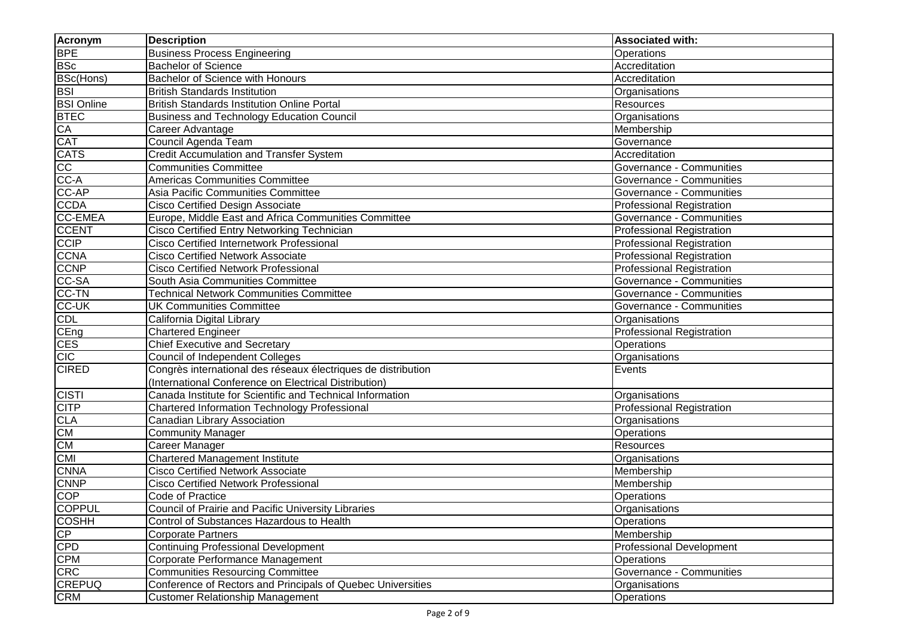| <b>Acronym</b>    | <b>Description</b>                                            | <b>Associated with:</b>          |
|-------------------|---------------------------------------------------------------|----------------------------------|
| <b>BPE</b>        | <b>Business Process Engineering</b>                           | Operations                       |
| <b>BSc</b>        | <b>Bachelor of Science</b>                                    | Accreditation                    |
| <b>BSc(Hons)</b>  | Bachelor of Science with Honours                              | Accreditation                    |
| <b>BSI</b>        | <b>British Standards Institution</b>                          | Organisations                    |
| <b>BSI Online</b> | <b>British Standards Institution Online Portal</b>            | Resources                        |
| <b>BTEC</b>       | <b>Business and Technology Education Council</b>              | Organisations                    |
| CA                | Career Advantage                                              | Membership                       |
| <b>CAT</b>        | Council Agenda Team                                           | Governance                       |
| <b>CATS</b>       | <b>Credit Accumulation and Transfer System</b>                | Accreditation                    |
| $\overline{cc}$   | <b>Communities Committee</b>                                  | Governance - Communities         |
| CC-A              | <b>Americas Communities Committee</b>                         | Governance - Communities         |
| CC-AP             | Asia Pacific Communities Committee                            | Governance - Communities         |
| <b>CCDA</b>       | <b>Cisco Certified Design Associate</b>                       | <b>Professional Registration</b> |
| <b>CC-EMEA</b>    | Europe, Middle East and Africa Communities Committee          | Governance - Communities         |
| <b>CCENT</b>      | Cisco Certified Entry Networking Technician                   | <b>Professional Registration</b> |
| <b>CCIP</b>       | Cisco Certified Internetwork Professional                     | <b>Professional Registration</b> |
| <b>CCNA</b>       | Cisco Certified Network Associate                             | <b>Professional Registration</b> |
| <b>CCNP</b>       | <b>Cisco Certified Network Professional</b>                   | Professional Registration        |
| CC-SA             | South Asia Communities Committee                              | Governance - Communities         |
| CC-TN             | <b>Technical Network Communities Committee</b>                | Governance - Communities         |
| <b>CC-UK</b>      | <b>UK Communities Committee</b>                               | Governance - Communities         |
| <b>CDL</b>        | California Digital Library                                    | Organisations                    |
| CEng              | <b>Chartered Engineer</b>                                     | <b>Professional Registration</b> |
| <b>CES</b>        | <b>Chief Executive and Secretary</b>                          | Operations                       |
| CIC               | <b>Council of Independent Colleges</b>                        | Organisations                    |
| <b>CIRED</b>      | Congrès international des réseaux électriques de distribution | Events                           |
|                   | (International Conference on Electrical Distribution)         |                                  |
| <b>CISTI</b>      | Canada Institute for Scientific and Technical Information     | Organisations                    |
| <b>CITP</b>       | Chartered Information Technology Professional                 | <b>Professional Registration</b> |
| <b>CLA</b>        | Canadian Library Association                                  | Organisations                    |
| CM                | <b>Community Manager</b>                                      | Operations                       |
| CM                | Career Manager                                                | Resources                        |
| <b>CMI</b>        | Chartered Management Institute                                | Organisations                    |
| <b>CNNA</b>       | <b>Cisco Certified Network Associate</b>                      | Membership                       |
| <b>CNNP</b>       | <b>Cisco Certified Network Professional</b>                   | Membership                       |
| <b>COP</b>        | Code of Practice                                              | <b>Operations</b>                |
| <b>COPPUL</b>     | Council of Prairie and Pacific University Libraries           | Organisations                    |
| <b>COSHH</b>      | Control of Substances Hazardous to Health                     | <b>Operations</b>                |
| CP                | <b>Corporate Partners</b>                                     | Membership                       |
| <b>CPD</b>        | Continuing Professional Development                           | <b>Professional Development</b>  |
| <b>CPM</b>        | Corporate Performance Management                              | <b>Operations</b>                |
| <b>CRC</b>        | <b>Communities Resourcing Committee</b>                       | Governance - Communities         |
| <b>CREPUQ</b>     | Conference of Rectors and Principals of Quebec Universities   | Organisations                    |
| <b>CRM</b>        | <b>Customer Relationship Management</b>                       | <b>Operations</b>                |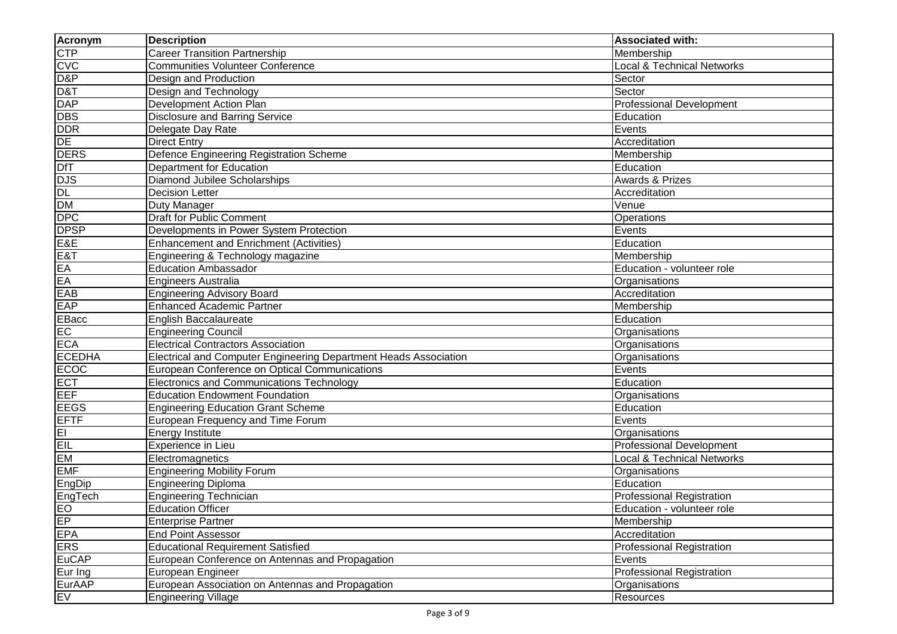| <b>Acronym</b>     | <b>Description</b>                                               | <b>Associated with:</b>               |
|--------------------|------------------------------------------------------------------|---------------------------------------|
| <b>CTP</b>         | Career Transition Partnership                                    | Membership                            |
|                    | <b>Communities Volunteer Conference</b>                          | <b>Local &amp; Technical Networks</b> |
| CVC<br>D&P         | Design and Production                                            | Sector                                |
| D&T                | Design and Technology                                            | Sector                                |
| <b>DAP</b>         | Development Action Plan                                          | Professional Development              |
| <b>DBS</b>         | <b>Disclosure and Barring Service</b>                            | Education                             |
| <b>DDR</b>         | Delegate Day Rate                                                | Events                                |
| DE                 | <b>Direct Entry</b>                                              | Accreditation                         |
| <b>DERS</b>        | Defence Engineering Registration Scheme                          | Membership                            |
| DfT                | Department for Education                                         | Education                             |
| <b>DJS</b>         | Diamond Jubilee Scholarships                                     | <b>Awards &amp; Prizes</b>            |
| DL<br>DM           | <b>Decision Letter</b>                                           | Accreditation                         |
|                    | Duty Manager                                                     | Venue                                 |
| <b>DPC</b>         | <b>Draft for Public Comment</b>                                  | Operations                            |
|                    | Developments in Power System Protection                          | Events                                |
|                    | <b>Enhancement and Enrichment (Activities)</b>                   | Education                             |
| DPSP<br>E&E<br>E&T | Engineering & Technology magazine                                | Membership                            |
|                    | <b>Education Ambassador</b>                                      | Education - volunteer role            |
| EA<br>EA           | Engineers Australia                                              | Organisations                         |
| EAB                | <b>Engineering Advisory Board</b>                                | Accreditation                         |
| <b>EAP</b>         | <b>Enhanced Academic Partner</b>                                 | Membership                            |
| EBacc              | <b>English Baccalaureate</b>                                     | Education                             |
| EC                 | <b>Engineering Council</b>                                       | Organisations                         |
| <b>ECA</b>         | <b>Electrical Contractors Association</b>                        | Organisations                         |
| <b>ECEDHA</b>      | Electrical and Computer Engineering Department Heads Association | Organisations                         |
| ECOC               | European Conference on Optical Communications                    | Events                                |
| <b>ECT</b>         | <b>Electronics and Communications Technology</b>                 | Education                             |
| EEF                | <b>Education Endowment Foundation</b>                            | Organisations                         |
| <b>EEGS</b>        | <b>Engineering Education Grant Scheme</b>                        | Education                             |
| <b>EFTF</b>        | European Frequency and Time Forum                                | Events                                |
| E1                 | Energy Institute                                                 | Organisations                         |
| EIL                | Experience in Lieu                                               | <b>Professional Development</b>       |
| <b>EM</b>          | Electromagnetics                                                 | <b>Local &amp; Technical Networks</b> |
| <b>EMF</b>         | <b>Engineering Mobility Forum</b>                                | Organisations                         |
| EngDip             | <b>Engineering Diploma</b>                                       | Education                             |
| EngTech            | <b>Engineering Technician</b>                                    | <b>Professional Registration</b>      |
| EO<br>EP           | <b>Education Officer</b>                                         | Education - volunteer role            |
|                    | <b>Enterprise Partner</b>                                        | Membership                            |
| <b>EPA</b>         | <b>End Point Assessor</b>                                        | Accreditation                         |
| <b>ERS</b>         | <b>Educational Requirement Satisfied</b>                         | <b>Professional Registration</b>      |
| <b>EuCAP</b>       | European Conference on Antennas and Propagation                  | Events                                |
| Eur Ing            | European Engineer                                                | <b>Professional Registration</b>      |
| <b>EurAAP</b>      | European Association on Antennas and Propagation                 | Organisations                         |
| <b>EV</b>          | <b>Engineering Village</b>                                       | Resources                             |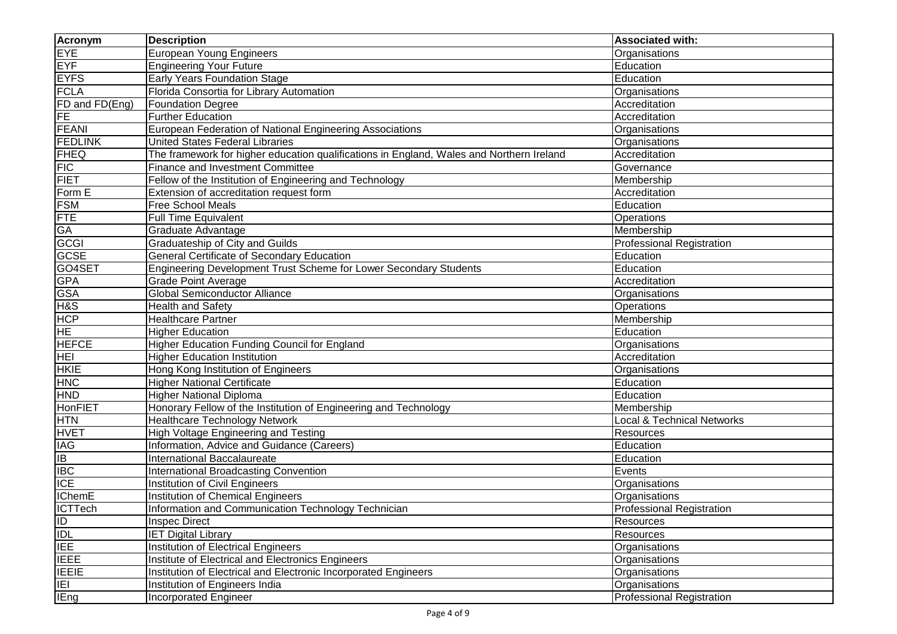| <b>Acronym</b>              | <b>Description</b>                                                                       | <b>Associated with:</b>               |
|-----------------------------|------------------------------------------------------------------------------------------|---------------------------------------|
| <b>EYE</b>                  | <b>European Young Engineers</b>                                                          | Organisations                         |
| <b>EYF</b>                  | <b>Engineering Your Future</b>                                                           | Education                             |
| <b>EYFS</b>                 | Early Years Foundation Stage                                                             | Education                             |
| <b>FCLA</b>                 | Florida Consortia for Library Automation                                                 | Organisations                         |
| FD and FD(Eng)              | <b>Foundation Degree</b>                                                                 | Accreditation                         |
| FE                          | <b>Further Education</b>                                                                 | Accreditation                         |
| <b>FEANI</b>                | European Federation of National Engineering Associations                                 | Organisations                         |
| <b>FEDLINK</b>              | United States Federal Libraries                                                          | Organisations                         |
| <b>FHEQ</b>                 | The framework for higher education qualifications in England, Wales and Northern Ireland | Accreditation                         |
| <b>FIC</b>                  | <b>Finance and Investment Committee</b>                                                  | Governance                            |
| <b>FIET</b>                 | Fellow of the Institution of Engineering and Technology                                  | Membership                            |
| Form E                      | Extension of accreditation request form                                                  | Accreditation                         |
| <b>FSM</b>                  | Free School Meals                                                                        | Education                             |
| <b>FTE</b>                  | <b>Full Time Equivalent</b>                                                              | Operations                            |
| GA<br>GCGI<br>GCSE          | Graduate Advantage                                                                       | Membership                            |
|                             | Graduateship of City and Guilds                                                          | Professional Registration             |
|                             | General Certificate of Secondary Education                                               | Education                             |
|                             | Engineering Development Trust Scheme for Lower Secondary Students                        | Education                             |
| GO4SET<br>GPA               | <b>Grade Point Average</b>                                                               | Accreditation                         |
| <b>GSA</b>                  | Global Semiconductor Alliance                                                            | Organisations                         |
| H&S                         | <b>Health and Safety</b>                                                                 | Operations                            |
| <b>HCP</b>                  | <b>Healthcare Partner</b>                                                                | Membership                            |
| <b>HE</b>                   | <b>Higher Education</b>                                                                  | Education                             |
| <b>HEFCE</b>                | Higher Education Funding Council for England                                             | Organisations                         |
| <b>HEI</b>                  | <b>Higher Education Institution</b>                                                      | Accreditation                         |
| <b>HKIE</b>                 | Hong Kong Institution of Engineers                                                       | Organisations                         |
| <b>HNC</b>                  | <b>Higher National Certificate</b>                                                       | Education                             |
| <b>HND</b>                  | <b>Higher National Diploma</b>                                                           | Education                             |
| <b>HonFIET</b>              | Honorary Fellow of the Institution of Engineering and Technology                         | Membership                            |
| <b>HTN</b>                  | <b>Healthcare Technology Network</b>                                                     | <b>Local &amp; Technical Networks</b> |
| <b>HVET</b>                 | High Voltage Engineering and Testing                                                     | Resources                             |
| <b>IAG</b>                  | Information, Advice and Guidance (Careers)                                               | Education                             |
| IB                          | International Baccalaureate                                                              | Education                             |
| <b>IBC</b>                  | <b>International Broadcasting Convention</b>                                             | Events                                |
| <b>ICE</b>                  | Institution of Civil Engineers                                                           | Organisations                         |
| <b>IChemE</b>               | Institution of Chemical Engineers                                                        | Organisations                         |
|                             | Information and Communication Technology Technician                                      | <b>Professional Registration</b>      |
| ICTTech<br>ID<br>IDL<br>IEE | Inspec Direct                                                                            | Resources                             |
|                             | <b>IET Digital Library</b>                                                               | Resources                             |
|                             | Institution of Electrical Engineers                                                      | Organisations                         |
| <b>TEEE</b>                 | Institute of Electrical and Electronics Engineers                                        | Organisations                         |
| <b>IEEIE</b>                | Institution of Electrical and Electronic Incorporated Engineers                          | Organisations                         |
| E                           | Institution of Engineers India                                                           | Organisations                         |
| <b>IEng</b>                 | <b>Incorporated Engineer</b>                                                             | <b>Professional Registration</b>      |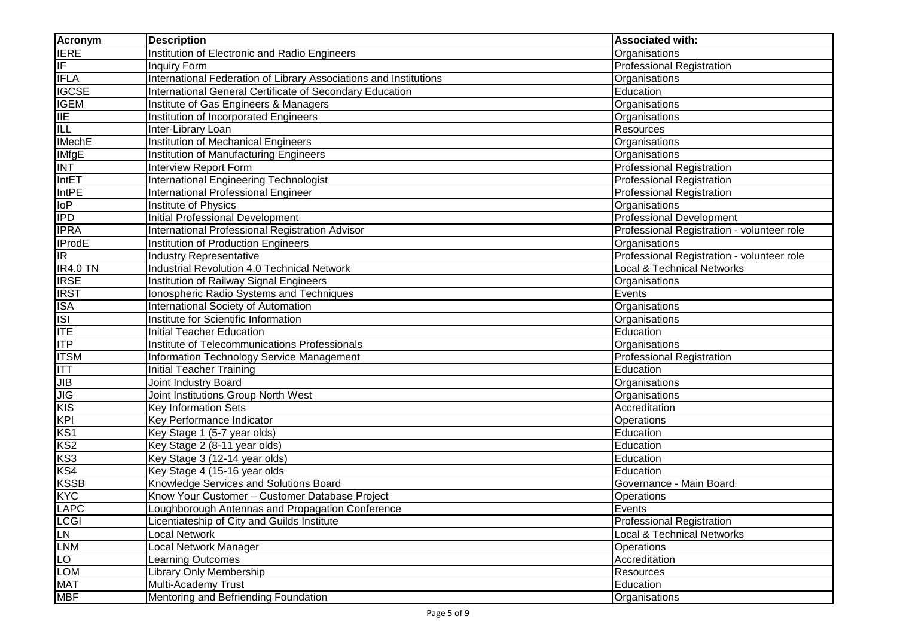| <b>Acronym</b>                         | <b>Description</b>                                                | <b>Associated with:</b>                    |
|----------------------------------------|-------------------------------------------------------------------|--------------------------------------------|
| <b>IERE</b>                            | <b>Institution of Electronic and Radio Engineers</b>              | Organisations                              |
| $\overline{\mathbb{F}}$                | <b>Inquiry Form</b>                                               | Professional Registration                  |
| <b>IFLA</b>                            | International Federation of Library Associations and Institutions | Organisations                              |
| <b>IGCSE</b>                           | International General Certificate of Secondary Education          | Education                                  |
| <b>IGEM</b>                            | Institute of Gas Engineers & Managers                             | Organisations                              |
| $\frac{\mathsf{IIE}}{\mathsf{ILL}}$    | Institution of Incorporated Engineers                             | Organisations                              |
|                                        | Inter-Library Loan                                                | Resources                                  |
| <b>IMechE</b>                          | <b>Institution of Mechanical Engineers</b>                        | Organisations                              |
| <b>IMfgE</b>                           | Institution of Manufacturing Engineers                            | Organisations                              |
| <b>INT</b>                             | Interview Report Form                                             | <b>Professional Registration</b>           |
| IntET                                  | <b>International Engineering Technologist</b>                     | <b>Professional Registration</b>           |
| <b>IntPE</b>                           | <b>International Professional Engineer</b>                        | <b>Professional Registration</b>           |
|                                        | Institute of Physics                                              | Organisations                              |
| $\frac{10P}{IPD}$                      | <b>Initial Professional Development</b>                           | <b>Professional Development</b>            |
| <b>IPRA</b>                            | International Professional Registration Advisor                   | Professional Registration - volunteer role |
| <b>IProdE</b>                          | Institution of Production Engineers                               | Organisations                              |
| $\overline{R}$                         | <b>Industry Representative</b>                                    | Professional Registration - volunteer role |
|                                        | Industrial Revolution 4.0 Technical Network                       | Local & Technical Networks                 |
| IR4.0 TN<br>IRSE<br>IRST<br>ISA<br>ISI | Institution of Railway Signal Engineers                           | Organisations                              |
|                                        | Ionospheric Radio Systems and Techniques                          | Events                                     |
|                                        | International Society of Automation                               | Organisations                              |
|                                        | Institute for Scientific Information                              | Organisations                              |
| <b>ITE</b>                             | <b>Initial Teacher Education</b>                                  | Education                                  |
| <b>ITP</b>                             | Institute of Telecommunications Professionals                     | Organisations                              |
| <b>ITSM</b>                            | Information Technology Service Management                         | <b>Professional Registration</b>           |
| $\Pi$                                  | <b>Initial Teacher Training</b>                                   | Education                                  |
| JIB                                    | Joint Industry Board                                              | Organisations                              |
| JIG<br>KIS<br>KS2<br>KS2               | Joint Institutions Group North West                               | Organisations                              |
|                                        | <b>Key Information Sets</b>                                       | Accreditation                              |
|                                        | Key Performance Indicator                                         | Operations                                 |
|                                        | Key Stage 1 (5-7 year olds)                                       | Education                                  |
|                                        | Key Stage 2 (8-11 year olds)                                      | Education                                  |
| KS3                                    | Key Stage 3 (12-14 year olds)                                     | Education                                  |
| KS4                                    | Key Stage 4 (15-16 year olds                                      | Education                                  |
| <b>KSSB</b>                            | Knowledge Services and Solutions Board                            | Governance - Main Board                    |
| <b>KYC</b>                             | Know Your Customer - Customer Database Project                    | Operations                                 |
|                                        | Loughborough Antennas and Propagation Conference                  | Events                                     |
| LAPC<br>LCGI                           | Licentiateship of City and Guilds Institute                       | <b>Professional Registration</b>           |
|                                        | Local Network                                                     | <b>Local &amp; Technical Networks</b>      |
| LN<br>LNM                              | Local Network Manager                                             | Operations                                 |
| LO<br>LOM                              | Learning Outcomes                                                 | Accreditation                              |
|                                        | Library Only Membership                                           | Resources                                  |
| <b>MAT</b>                             | Multi-Academy Trust                                               | Education                                  |
| <b>MBF</b>                             | Mentoring and Befriending Foundation                              | Organisations                              |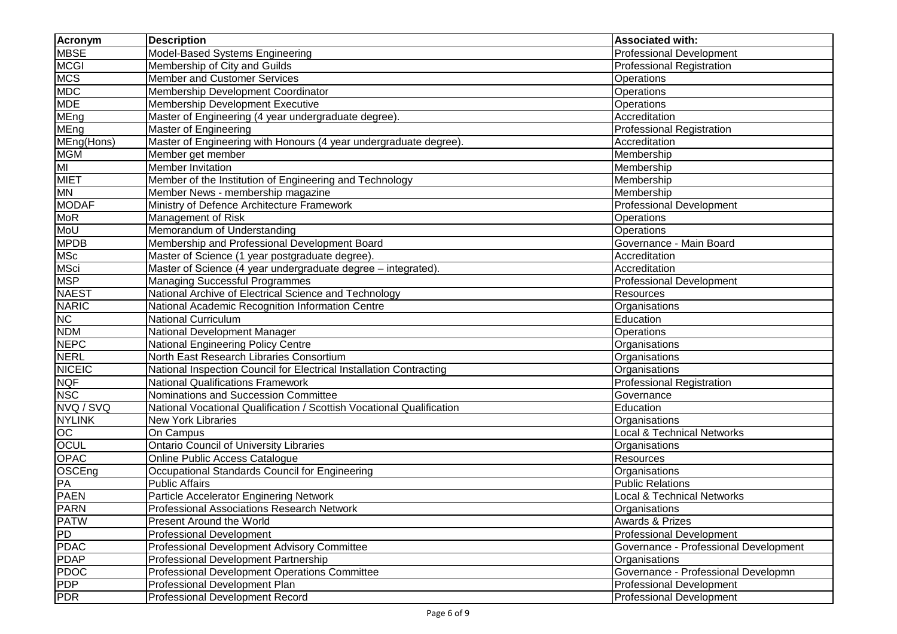| <b>Acronym</b>  | <b>Description</b>                                                    | <b>Associated with:</b>               |
|-----------------|-----------------------------------------------------------------------|---------------------------------------|
| <b>MBSE</b>     | Model-Based Systems Engineering                                       | <b>Professional Development</b>       |
| <b>MCGI</b>     | Membership of City and Guilds                                         | <b>Professional Registration</b>      |
| <b>MCS</b>      | Member and Customer Services                                          | Operations                            |
| <b>MDC</b>      | Membership Development Coordinator                                    | Operations                            |
| <b>MDE</b>      | Membership Development Executive                                      | Operations                            |
| MEng            | Master of Engineering (4 year undergraduate degree).                  | Accreditation                         |
| MEng            | Master of Engineering                                                 | <b>Professional Registration</b>      |
| MEng(Hons)      | Master of Engineering with Honours (4 year undergraduate degree).     | Accreditation                         |
| <b>MGM</b>      | Member get member                                                     | Membership                            |
| MI              | Member Invitation                                                     | Membership                            |
| <b>MIET</b>     | Member of the Institution of Engineering and Technology               | Membership                            |
| <b>MN</b>       | Member News - membership magazine                                     | Membership                            |
| <b>MODAF</b>    | Ministry of Defence Architecture Framework                            | <b>Professional Development</b>       |
| <b>MoR</b>      | Management of Risk                                                    | Operations                            |
| MoU             | Memorandum of Understanding                                           | Operations                            |
| <b>MPDB</b>     | Membership and Professional Development Board                         | Governance - Main Board               |
| <b>MSc</b>      | Master of Science (1 year postgraduate degree).                       | Accreditation                         |
| <b>MSci</b>     | Master of Science (4 year undergraduate degree - integrated)          | Accreditation                         |
| <b>MSP</b>      | <b>Managing Successful Programmes</b>                                 | <b>Professional Development</b>       |
| <b>NAEST</b>    | National Archive of Electrical Science and Technology                 | Resources                             |
| <b>NARIC</b>    | National Academic Recognition Information Centre                      | Organisations                         |
| NC              | <b>National Curriculum</b>                                            | Education                             |
| <b>NDM</b>      | National Development Manager                                          | Operations                            |
| <b>NEPC</b>     | National Engineering Policy Centre                                    | Organisations                         |
| <b>NERL</b>     | North East Research Libraries Consortium                              | Organisations                         |
| <b>NICEIC</b>   | National Inspection Council for Electrical Installation Contracting   | Organisations                         |
| <b>NQF</b>      | <b>National Qualifications Framework</b>                              | <b>Professional Registration</b>      |
| <b>NSC</b>      | Nominations and Succession Committee                                  | Governance                            |
| NVQ / SVQ       | National Vocational Qualification / Scottish Vocational Qualification | Education                             |
| <b>NYLINK</b>   | New York Libraries                                                    | Organisations                         |
| $\overline{OC}$ | On Campus                                                             | Local & Technical Networks            |
| <b>OCUL</b>     | <b>Ontario Council of University Libraries</b>                        | Organisations                         |
| <b>OPAC</b>     | Online Public Access Catalogue                                        | Resources                             |
| OSCEng          | Occupational Standards Council for Engineering                        | Organisations                         |
| PA              | <b>Public Affairs</b>                                                 | <b>Public Relations</b>               |
| <b>PAEN</b>     | Particle Accelerator Enginering Network                               | <b>Local &amp; Technical Networks</b> |
| <b>PARN</b>     | Professional Associations Research Network                            | Organisations                         |
| <b>PATW</b>     | <b>Present Around the World</b>                                       | <b>Awards &amp; Prizes</b>            |
| PD              | <b>Professional Development</b>                                       | <b>Professional Development</b>       |
| <b>PDAC</b>     | Professional Development Advisory Committee                           | Governance - Professional Development |
| <b>PDAP</b>     | Professional Development Partnership                                  | Organisations                         |
| <b>PDOC</b>     | <b>Professional Development Operations Committee</b>                  | Governance - Professional Developmn   |
| <b>PDP</b>      | Professional Development Plan                                         | <b>Professional Development</b>       |
| <b>PDR</b>      | Professional Development Record                                       | <b>Professional Development</b>       |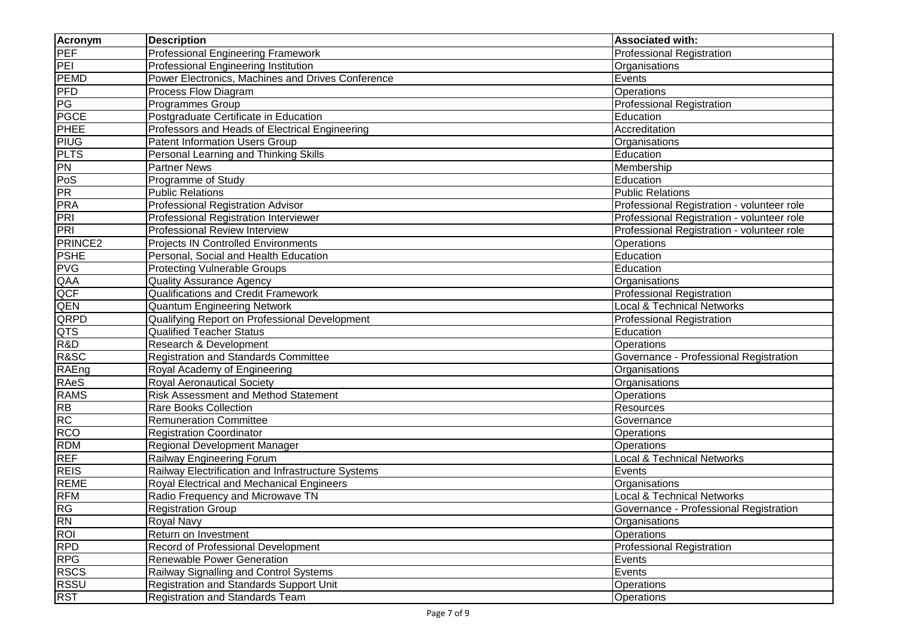| <b>Acronym</b>                                  | <b>Description</b>                                 | <b>Associated with:</b>                    |
|-------------------------------------------------|----------------------------------------------------|--------------------------------------------|
| PEF                                             | Professional Engineering Framework                 | <b>Professional Registration</b>           |
| PEI                                             | Professional Engineering Institution               | Organisations                              |
| <b>PEMD</b>                                     | Power Electronics, Machines and Drives Conference  | Events                                     |
| PFD                                             | Process Flow Diagram                               | Operations                                 |
| PG                                              | <b>Programmes Group</b>                            | <b>Professional Registration</b>           |
| <b>PGCE</b>                                     | Postgraduate Certificate in Education              | Education                                  |
| <b>PHEE</b>                                     | Professors and Heads of Electrical Engineering     | Accreditation                              |
| <b>PIUG</b>                                     | <b>Patent Information Users Group</b>              | Organisations                              |
| <b>PLTS</b>                                     | Personal Learning and Thinking Skills              | Education                                  |
| <b>PN</b>                                       | <b>Partner News</b>                                | Membership                                 |
|                                                 | Programme of Study                                 | Education                                  |
|                                                 | <b>Public Relations</b>                            | <b>Public Relations</b>                    |
| Pos<br>PR<br>PRA                                | <b>Professional Registration Advisor</b>           | Professional Registration - volunteer role |
| <b>PRI</b>                                      | Professional Registration Interviewer              | Professional Registration - volunteer role |
| PRI                                             | Professional Review Interview                      | Professional Registration - volunteer role |
| PRINCE <sub>2</sub>                             | <b>Projects IN Controlled Environments</b>         | Operations                                 |
| <b>PSHE</b>                                     | Personal, Social and Health Education              | Education                                  |
| <b>PVG</b>                                      | <b>Protecting Vulnerable Groups</b>                | Education                                  |
| $\frac{\overline{\sf QAA}}{\overline{\sf QCF}}$ | <b>Quality Assurance Agency</b>                    | Organisations                              |
|                                                 | <b>Qualifications and Credit Framework</b>         | <b>Professional Registration</b>           |
| QEN                                             | <b>Quantum Engineering Network</b>                 | <b>Local &amp; Technical Networks</b>      |
| QRPD                                            | Qualifying Report on Professional Development      | <b>Professional Registration</b>           |
| QTS                                             | <b>Qualified Teacher Status</b>                    | Education                                  |
| R&D                                             | Research & Development                             | Operations                                 |
| R&SC                                            | <b>Registration and Standards Committee</b>        | Governance - Professional Registration     |
| RAEng                                           | Royal Academy of Engineering                       | Organisations                              |
| RAeS                                            | Royal Aeronautical Society                         | Organisations                              |
| <b>RAMS</b>                                     | <b>Risk Assessment and Method Statement</b>        | Operations                                 |
| <b>RB</b>                                       | <b>Rare Books Collection</b>                       | Resources                                  |
| <b>RC</b>                                       | <b>Remuneration Committee</b>                      | Governance                                 |
| <b>RCO</b>                                      | <b>Registration Coordinator</b>                    | Operations                                 |
| <b>RDM</b>                                      | Regional Development Manager                       | Operations                                 |
| <b>REF</b>                                      | Railway Engineering Forum                          | <b>Local &amp; Technical Networks</b>      |
| <b>REIS</b>                                     | Railway Electrification and Infrastructure Systems | Events                                     |
| <b>REME</b>                                     | Royal Electrical and Mechanical Engineers          | Organisations                              |
| <b>RFM</b>                                      | Radio Frequency and Microwave TN                   | <b>Local &amp; Technical Networks</b>      |
|                                                 | <b>Registration Group</b>                          | Governance - Professional Registration     |
| $\frac{\mathsf{RG}}{\mathsf{RN}}$               | Royal Navy                                         | Organisations                              |
| <b>ROL</b>                                      | Return on Investment                               | <b>Operations</b>                          |
| <b>RPD</b>                                      | Record of Professional Development                 | <b>Professional Registration</b>           |
| <b>RPG</b>                                      | Renewable Power Generation                         | Events                                     |
| <b>RSCS</b>                                     | Railway Signalling and Control Systems             | Events                                     |
| <b>RSSU</b>                                     | <b>Registration and Standards Support Unit</b>     | Operations                                 |
| <b>RST</b>                                      | Registration and Standards Team                    | <b>Operations</b>                          |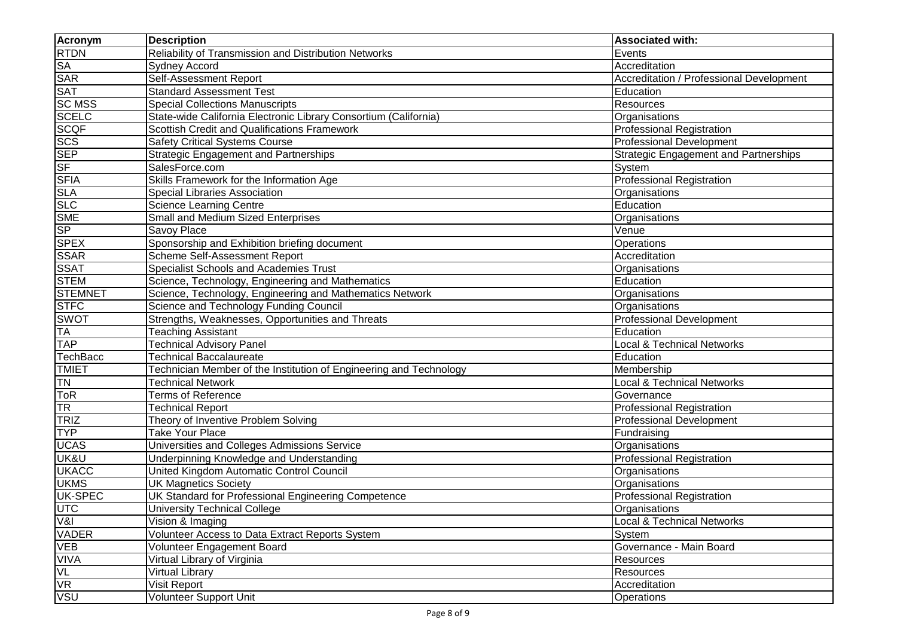| Acronym                  | <b>Description</b>                                                 | <b>Associated with:</b>                      |
|--------------------------|--------------------------------------------------------------------|----------------------------------------------|
| <b>RTDN</b>              | Reliability of Transmission and Distribution Networks              | Events                                       |
| <b>SA</b>                | <b>Sydney Accord</b>                                               | Accreditation                                |
| <b>SAR</b>               | <b>Self-Assessment Report</b>                                      | Accreditation / Professional Development     |
| <b>SAT</b>               | <b>Standard Assessment Test</b>                                    | Education                                    |
| <b>SC MSS</b>            | <b>Special Collections Manuscripts</b>                             | Resources                                    |
| <b>SCELC</b>             | State-wide California Electronic Library Consortium (California)   | Organisations                                |
| <b>SCQF</b>              | <b>Scottish Credit and Qualifications Framework</b>                | <b>Professional Registration</b>             |
| SCS<br>SEP<br>SF<br>SFIA | <b>Safety Critical Systems Course</b>                              | Professional Development                     |
|                          | <b>Strategic Engagement and Partnerships</b>                       | <b>Strategic Engagement and Partnerships</b> |
|                          | SalesForce.com                                                     | System                                       |
|                          | Skills Framework for the Information Age                           | <b>Professional Registration</b>             |
| <b>SLA</b>               | <b>Special Libraries Association</b>                               | Organisations                                |
| <b>SLC</b>               | <b>Science Learning Centre</b>                                     | Education                                    |
| <b>SME</b>               | Small and Medium Sized Enterprises                                 | Organisations                                |
| <b>SP</b>                | Savoy Place                                                        | Venue                                        |
| <b>SPEX</b>              | Sponsorship and Exhibition briefing document                       | Operations                                   |
| <b>SSAR</b>              | Scheme Self-Assessment Report                                      | Accreditation                                |
| <b>SSAT</b>              | Specialist Schools and Academies Trust                             | Organisations                                |
| <b>STEM</b>              | Science, Technology, Engineering and Mathematics                   | Education                                    |
| <b>STEMNET</b>           | Science, Technology, Engineering and Mathematics Network           | Organisations                                |
| <b>STFC</b>              | Science and Technology Funding Council                             | Organisations                                |
| <b>SWOT</b>              | Strengths, Weaknesses, Opportunities and Threats                   | <b>Professional Development</b>              |
| <b>TA</b>                | <b>Teaching Assistant</b>                                          | Education                                    |
| <b>TAP</b>               | <b>Technical Advisory Panel</b>                                    | <b>Local &amp; Technical Networks</b>        |
| <b>TechBacc</b>          | <b>Technical Baccalaureate</b>                                     | Education                                    |
| <b>TMIET</b>             | Technician Member of the Institution of Engineering and Technology | Membership                                   |
| <b>TN</b>                | <b>Technical Network</b>                                           | <b>Local &amp; Technical Networks</b>        |
| <b>ToR</b>               | <b>Terms of Reference</b>                                          | Governance                                   |
| <b>TR</b>                | <b>Technical Report</b>                                            | <b>Professional Registration</b>             |
| TRIZ                     | Theory of Inventive Problem Solving                                | <b>Professional Development</b>              |
| <b>TYP</b>               | Take Your Place                                                    | Fundraising                                  |
| <b>UCAS</b>              | Universities and Colleges Admissions Service                       | Organisations                                |
| UK&U                     | Underpinning Knowledge and Understanding                           | <b>Professional Registration</b>             |
| <b>UKACC</b>             | United Kingdom Automatic Control Council                           | Organisations                                |
| <b>UKMS</b>              | <b>UK Magnetics Society</b>                                        | Organisations                                |
| <b>UK-SPEC</b>           | UK Standard for Professional Engineering Competence                | <b>Professional Registration</b>             |
|                          | <b>University Technical College</b>                                | Organisations                                |
| UTC<br>V&I               | Vision & Imaging                                                   | Local & Technical Networks                   |
| <b>VADER</b>             | Volunteer Access to Data Extract Reports System                    | System                                       |
| <b>VEB</b>               | Volunteer Engagement Board                                         | Governance - Main Board                      |
| <b>VIVA</b>              | Virtual Library of Virginia                                        | <b>Resources</b>                             |
| VL                       | Virtual Library                                                    | Resources                                    |
| <b>VR</b>                | Visit Report                                                       | Accreditation                                |
| <b>VSU</b>               | <b>Volunteer Support Unit</b>                                      | <b>Operations</b>                            |